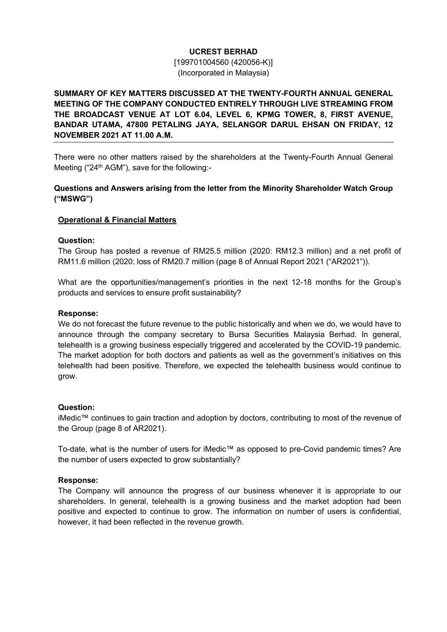# UCREST BERHAD

[199701004560 (420056-K)] (Incorporated in Malaysia)

# SUMMARY OF KEY MATTERS DISCUSSED AT THE TWENTY-FOURTH ANNUAL GENERAL MEETING OF THE COMPANY CONDUCTED ENTIRELY THROUGH LIVE STREAMING FROM THE BROADCAST VENUE AT LOT 6.04, LEVEL 6, KPMG TOWER, 8, FIRST AVENUE, BANDAR UTAMA, 47800 PETALING JAYA, SELANGOR DARUL EHSAN ON FRIDAY, 12 NOVEMBER 2021 AT 11.00 A.M.

There were no other matters raised by the shareholders at the Twenty-Fourth Annual General Meeting ("24<sup>th</sup> AGM"), save for the following:-

## Questions and Answers arising from the letter from the Minority Shareholder Watch Group ("MSWG")

## Operational & Financial Matters

### Question:

The Group has posted a revenue of RM25.5 million (2020: RM12.3 million) and a net profit of RM11.6 million (2020: loss of RM20.7 million (page 8 of Annual Report 2021 ("AR2021")).

What are the opportunities/management's priorities in the next 12-18 months for the Group's products and services to ensure profit sustainability?

#### Response:

We do not forecast the future revenue to the public historically and when we do, we would have to announce through the company secretary to Bursa Securities Malaysia Berhad. In general, telehealth is a growing business especially triggered and accelerated by the COVID-19 pandemic. The market adoption for both doctors and patients as well as the government's initiatives on this telehealth had been positive. Therefore, we expected the telehealth business would continue to grow.

### Question:

iMedic™ continues to gain traction and adoption by doctors, contributing to most of the revenue of the Group (page 8 of AR2021).

To-date, what is the number of users for iMedic™ as opposed to pre-Covid pandemic times? Are the number of users expected to grow substantially?

### Response:

The Company will announce the progress of our business whenever it is appropriate to our shareholders. In general, telehealth is a growing business and the market adoption had been positive and expected to continue to grow. The information on number of users is confidential, however, it had been reflected in the revenue growth.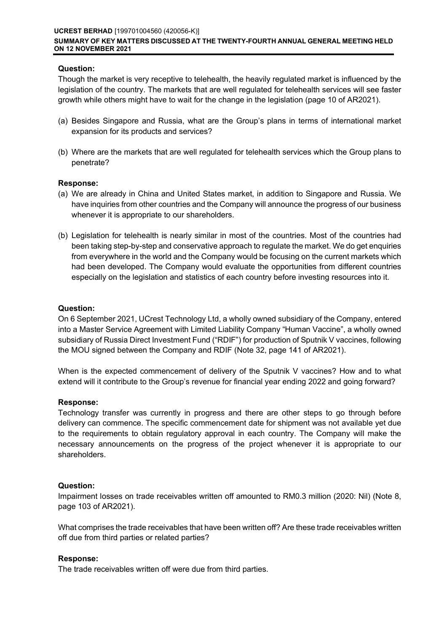## Question:

Though the market is very receptive to telehealth, the heavily regulated market is influenced by the legislation of the country. The markets that are well regulated for telehealth services will see faster growth while others might have to wait for the change in the legislation (page 10 of AR2021).

- (a) Besides Singapore and Russia, what are the Group's plans in terms of international market expansion for its products and services?
- (b) Where are the markets that are well regulated for telehealth services which the Group plans to penetrate?

## Response:

- (a) We are already in China and United States market, in addition to Singapore and Russia. We have inquiries from other countries and the Company will announce the progress of our business whenever it is appropriate to our shareholders.
- (b) Legislation for telehealth is nearly similar in most of the countries. Most of the countries had been taking step-by-step and conservative approach to regulate the market. We do get enquiries from everywhere in the world and the Company would be focusing on the current markets which had been developed. The Company would evaluate the opportunities from different countries especially on the legislation and statistics of each country before investing resources into it.

## Question:

On 6 September 2021, UCrest Technology Ltd, a wholly owned subsidiary of the Company, entered into a Master Service Agreement with Limited Liability Company "Human Vaccine", a wholly owned subsidiary of Russia Direct Investment Fund ("RDIF") for production of Sputnik V vaccines, following the MOU signed between the Company and RDIF (Note 32, page 141 of AR2021).

When is the expected commencement of delivery of the Sputnik V vaccines? How and to what extend will it contribute to the Group's revenue for financial year ending 2022 and going forward?

### Response:

Technology transfer was currently in progress and there are other steps to go through before delivery can commence. The specific commencement date for shipment was not available yet due to the requirements to obtain regulatory approval in each country. The Company will make the necessary announcements on the progress of the project whenever it is appropriate to our shareholders.

### Question:

Impairment losses on trade receivables written off amounted to RM0.3 million (2020: Nil) (Note 8, page 103 of AR2021).

What comprises the trade receivables that have been written off? Are these trade receivables written off due from third parties or related parties?

# Response:

The trade receivables written off were due from third parties.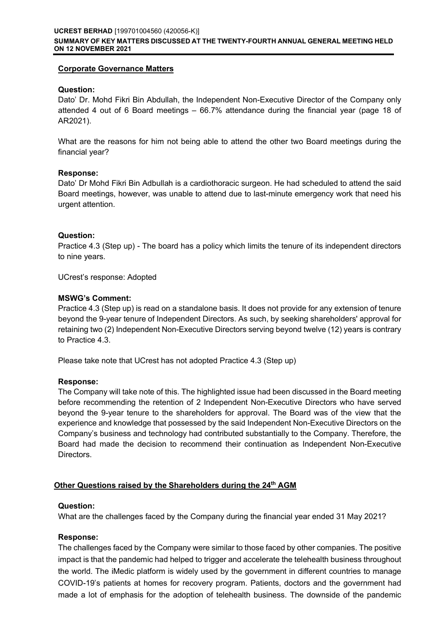## Corporate Governance Matters

## Question:

Dato' Dr. Mohd Fikri Bin Abdullah, the Independent Non-Executive Director of the Company only attended 4 out of 6 Board meetings – 66.7% attendance during the financial year (page 18 of AR2021).

What are the reasons for him not being able to attend the other two Board meetings during the financial year?

## Response:

Dato' Dr Mohd Fikri Bin Adbullah is a cardiothoracic surgeon. He had scheduled to attend the said Board meetings, however, was unable to attend due to last-minute emergency work that need his urgent attention.

## Question:

Practice 4.3 (Step up) - The board has a policy which limits the tenure of its independent directors to nine years.

UCrest's response: Adopted

## MSWG's Comment:

Practice 4.3 (Step up) is read on a standalone basis. It does not provide for any extension of tenure beyond the 9-year tenure of Independent Directors. As such, by seeking shareholders' approval for retaining two (2) Independent Non-Executive Directors serving beyond twelve (12) years is contrary to Practice 4.3.

Please take note that UCrest has not adopted Practice 4.3 (Step up)

### Response:

The Company will take note of this. The highlighted issue had been discussed in the Board meeting before recommending the retention of 2 Independent Non-Executive Directors who have served beyond the 9-year tenure to the shareholders for approval. The Board was of the view that the experience and knowledge that possessed by the said Independent Non-Executive Directors on the Company's business and technology had contributed substantially to the Company. Therefore, the Board had made the decision to recommend their continuation as Independent Non-Executive Directors.

# Other Questions raised by the Shareholders during the 24th AGM

### Question:

What are the challenges faced by the Company during the financial year ended 31 May 2021?

### Response:

The challenges faced by the Company were similar to those faced by other companies. The positive impact is that the pandemic had helped to trigger and accelerate the telehealth business throughout the world. The iMedic platform is widely used by the government in different countries to manage COVID-19's patients at homes for recovery program. Patients, doctors and the government had made a lot of emphasis for the adoption of telehealth business. The downside of the pandemic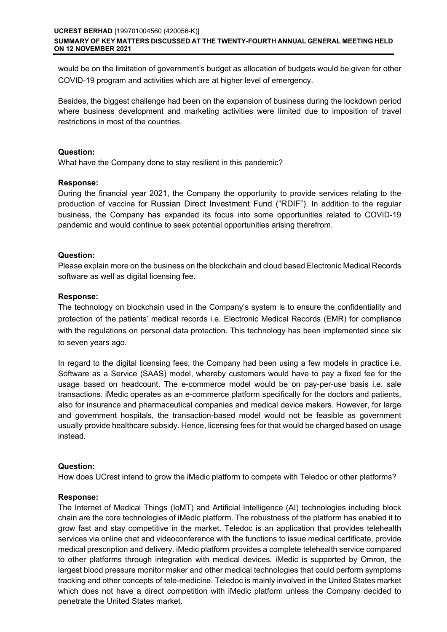would be on the limitation of government's budget as allocation of budgets would be given for other COVID-19 program and activities which are at higher level of emergency.

Besides, the biggest challenge had been on the expansion of business during the lockdown period where business development and marketing activities were limited due to imposition of travel restrictions in most of the countries.

### Question:

What have the Company done to stay resilient in this pandemic?

## Response:

During the financial year 2021, the Company the opportunity to provide services relating to the production of vaccine for Russian Direct Investment Fund ("RDIF"). In addition to the regular business, the Company has expanded its focus into some opportunities related to COVID-19 pandemic and would continue to seek potential opportunities arising therefrom.

## Question:

Please explain more on the business on the blockchain and cloud based Electronic Medical Records software as well as digital licensing fee.

## Response:

The technology on blockchain used in the Company's system is to ensure the confidentiality and protection of the patients' medical records i.e. Electronic Medical Records (EMR) for compliance with the regulations on personal data protection. This technology has been implemented since six to seven years ago.

In regard to the digital licensing fees, the Company had been using a few models in practice i.e. Software as a Service (SAAS) model, whereby customers would have to pay a fixed fee for the usage based on headcount. The e-commerce model would be on pay-per-use basis i.e. sale transactions. iMedic operates as an e-commerce platform specifically for the doctors and patients, also for insurance and pharmaceutical companies and medical device makers. However, for large and government hospitals, the transaction-based model would not be feasible as government usually provide healthcare subsidy. Hence, licensing fees for that would be charged based on usage instead.

# Question:

How does UCrest intend to grow the iMedic platform to compete with Teledoc or other platforms?

### Response:

The Internet of Medical Things (IoMT) and Artificial Intelligence (AI) technologies including block chain are the core technologies of iMedic platform. The robustness of the platform has enabled it to grow fast and stay competitive in the market. Teledoc is an application that provides telehealth services via online chat and videoconference with the functions to issue medical certificate, provide medical prescription and delivery. iMedic platform provides a complete telehealth service compared to other platforms through integration with medical devices. iMedic is supported by Omron, the largest blood pressure monitor maker and other medical technologies that could perform symptoms tracking and other concepts of tele-medicine. Teledoc is mainly involved in the United States market which does not have a direct competition with iMedic platform unless the Company decided to penetrate the United States market.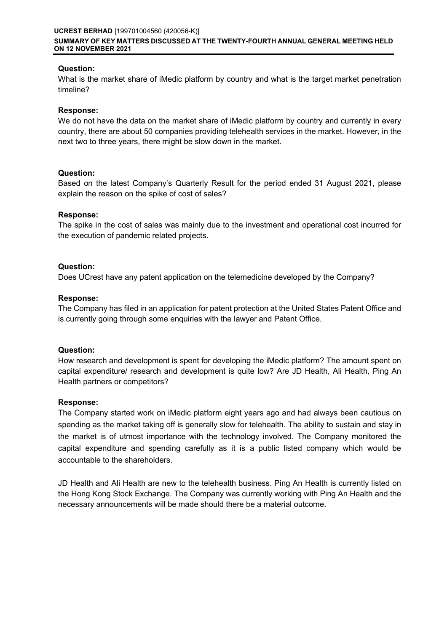## Question:

What is the market share of iMedic platform by country and what is the target market penetration timeline?

## Response:

We do not have the data on the market share of iMedic platform by country and currently in every country, there are about 50 companies providing telehealth services in the market. However, in the next two to three years, there might be slow down in the market.

## Question:

Based on the latest Company's Quarterly Result for the period ended 31 August 2021, please explain the reason on the spike of cost of sales?

## Response:

The spike in the cost of sales was mainly due to the investment and operational cost incurred for the execution of pandemic related projects.

## Question:

Does UCrest have any patent application on the telemedicine developed by the Company?

## Response:

The Company has filed in an application for patent protection at the United States Patent Office and is currently going through some enquiries with the lawyer and Patent Office.

### Question:

How research and development is spent for developing the iMedic platform? The amount spent on capital expenditure/ research and development is quite low? Are JD Health, Ali Health, Ping An Health partners or competitors?

### Response:

The Company started work on iMedic platform eight years ago and had always been cautious on spending as the market taking off is generally slow for telehealth. The ability to sustain and stay in the market is of utmost importance with the technology involved. The Company monitored the capital expenditure and spending carefully as it is a public listed company which would be accountable to the shareholders.

JD Health and Ali Health are new to the telehealth business. Ping An Health is currently listed on the Hong Kong Stock Exchange. The Company was currently working with Ping An Health and the necessary announcements will be made should there be a material outcome.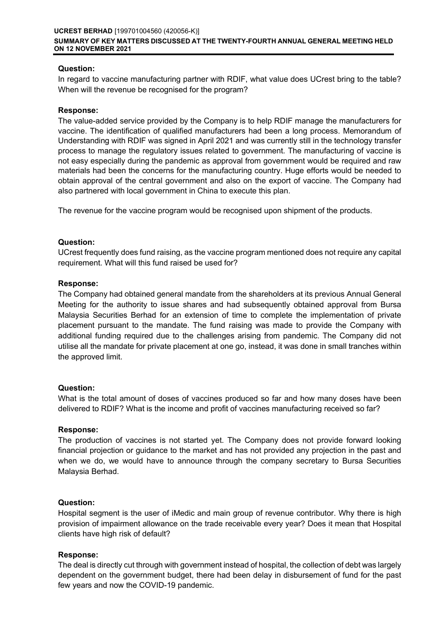## Question:

In regard to vaccine manufacturing partner with RDIF, what value does UCrest bring to the table? When will the revenue be recognised for the program?

### Response:

The value-added service provided by the Company is to help RDIF manage the manufacturers for vaccine. The identification of qualified manufacturers had been a long process. Memorandum of Understanding with RDIF was signed in April 2021 and was currently still in the technology transfer process to manage the regulatory issues related to government. The manufacturing of vaccine is not easy especially during the pandemic as approval from government would be required and raw materials had been the concerns for the manufacturing country. Huge efforts would be needed to obtain approval of the central government and also on the export of vaccine. The Company had also partnered with local government in China to execute this plan.

The revenue for the vaccine program would be recognised upon shipment of the products.

## Question:

UCrest frequently does fund raising, as the vaccine program mentioned does not require any capital requirement. What will this fund raised be used for?

## Response:

The Company had obtained general mandate from the shareholders at its previous Annual General Meeting for the authority to issue shares and had subsequently obtained approval from Bursa Malaysia Securities Berhad for an extension of time to complete the implementation of private placement pursuant to the mandate. The fund raising was made to provide the Company with additional funding required due to the challenges arising from pandemic. The Company did not utilise all the mandate for private placement at one go, instead, it was done in small tranches within the approved limit.

# Question:

What is the total amount of doses of vaccines produced so far and how many doses have been delivered to RDIF? What is the income and profit of vaccines manufacturing received so far?

### Response:

The production of vaccines is not started yet. The Company does not provide forward looking financial projection or guidance to the market and has not provided any projection in the past and when we do, we would have to announce through the company secretary to Bursa Securities Malaysia Berhad.

### Question:

Hospital segment is the user of iMedic and main group of revenue contributor. Why there is high provision of impairment allowance on the trade receivable every year? Does it mean that Hospital clients have high risk of default?

# Response:

The deal is directly cut through with government instead of hospital, the collection of debt was largely dependent on the government budget, there had been delay in disbursement of fund for the past few years and now the COVID-19 pandemic.